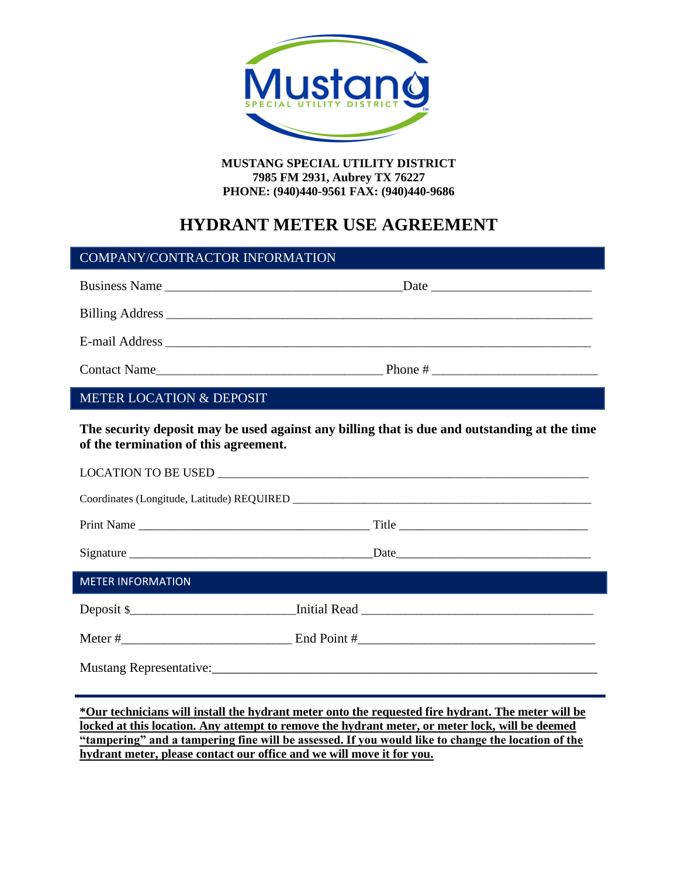

**MUSTANG SPECIAL UTILITY DISTRICT 7985 FM 2931, Aubrey TX 76227 PHONE: (940)440-9561 FAX: (940)440-9686**

# **HYDRANT METER USE AGREEMENT**

| <b>COMPANY/CONTRACTOR INFORMATION</b>                                                        |  |  |
|----------------------------------------------------------------------------------------------|--|--|
| Business Name                                                                                |  |  |
|                                                                                              |  |  |
|                                                                                              |  |  |
|                                                                                              |  |  |
| <b>METER LOCATION &amp; DEPOSIT</b>                                                          |  |  |
| The security deposit may be used against any billing that is due and outstanding at the time |  |  |

**The security deposit may be used against any billing that is due and outstanding at the time of the termination of this agreement.** 

| <b>METER INFORMATION</b>                                                                                                                                                                                                       |            |  |
|--------------------------------------------------------------------------------------------------------------------------------------------------------------------------------------------------------------------------------|------------|--|
|                                                                                                                                                                                                                                | Deposit \$ |  |
|                                                                                                                                                                                                                                |            |  |
| Mustang Representative: 1990 and 200 million and 200 million and 200 million and 200 million and 200 million and 200 million and 200 million and 200 million and 200 million and 200 million and 200 million and 200 million a |            |  |

**\*Our technicians will install the hydrant meter onto the requested fire hydrant. The meter will be locked at this location. Any attempt to remove the hydrant meter, or meter lock, will be deemed "tampering" and a tampering fine will be assessed. If you would like to change the location of the hydrant meter, please contact our office and we will move it for you.**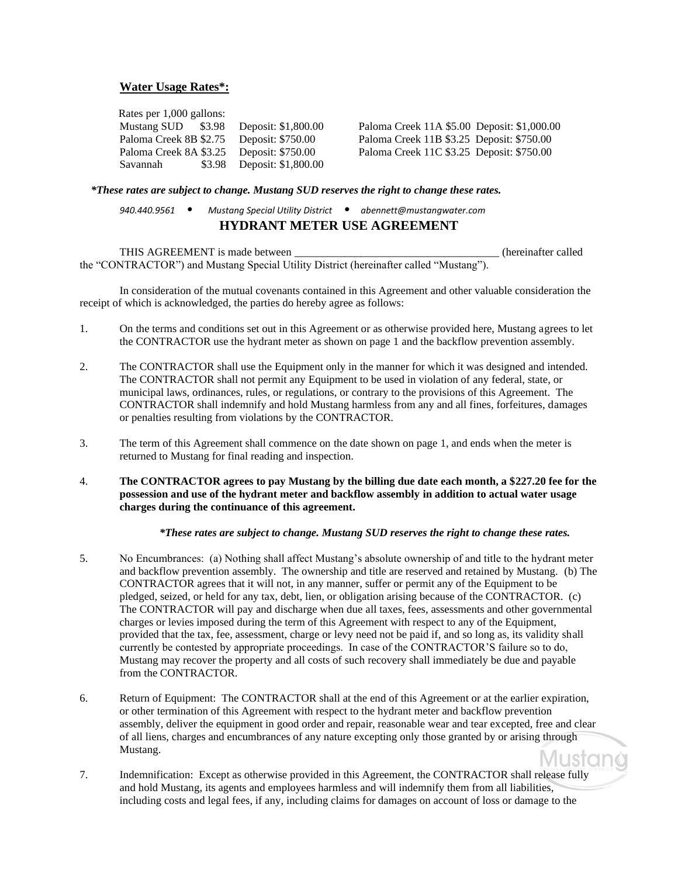## **Water Usage Rates\*:**

 Rates per 1,000 gallons: Mustang SUD \$3.98 Deposit: \$1,800.00 Paloma Creek 11A \$5.00 Deposit: \$1,000.00 Paloma Creek 8B \$2.75 Deposit: \$750.00 Paloma Creek 11B \$3.25 Deposit: \$750.00 Paloma Creek 8A \$3.25 Deposit: \$750.00 Paloma Creek 11C \$3.25 Deposit: \$750.00 Savannah \$3.98 Deposit: \$1,800.00

### *\*These rates are subject to change. Mustang SUD reserves the right to change these rates.*

*940.440.9561 • Mustang Special Utility District • abennett@mustangwater.com* **HYDRANT METER USE AGREEMENT**

THIS AGREEMENT is made between **the set of the set of the set of the set of the set of the set of the set of the set of the set of the set of the set of the set of the set of the set of the set of the set of the set of the** the "CONTRACTOR") and Mustang Special Utility District (hereinafter called "Mustang").

In consideration of the mutual covenants contained in this Agreement and other valuable consideration the receipt of which is acknowledged, the parties do hereby agree as follows:

- 1. On the terms and conditions set out in this Agreement or as otherwise provided here, Mustang agrees to let the CONTRACTOR use the hydrant meter as shown on page 1 and the backflow prevention assembly.
- 2. The CONTRACTOR shall use the Equipment only in the manner for which it was designed and intended. The CONTRACTOR shall not permit any Equipment to be used in violation of any federal, state, or municipal laws, ordinances, rules, or regulations, or contrary to the provisions of this Agreement. The CONTRACTOR shall indemnify and hold Mustang harmless from any and all fines, forfeitures, damages or penalties resulting from violations by the CONTRACTOR.
- 3. The term of this Agreement shall commence on the date shown on page 1, and ends when the meter is returned to Mustang for final reading and inspection.
- 4. **The CONTRACTOR agrees to pay Mustang by the billing due date each month, a \$227.20 fee for the possession and use of the hydrant meter and backflow assembly in addition to actual water usage charges during the continuance of this agreement.**

#### *\*These rates are subject to change. Mustang SUD reserves the right to change these rates.*

- 5. No Encumbrances: (a) Nothing shall affect Mustang's absolute ownership of and title to the hydrant meter and backflow prevention assembly. The ownership and title are reserved and retained by Mustang. (b) The CONTRACTOR agrees that it will not, in any manner, suffer or permit any of the Equipment to be pledged, seized, or held for any tax, debt, lien, or obligation arising because of the CONTRACTOR. (c) The CONTRACTOR will pay and discharge when due all taxes, fees, assessments and other governmental charges or levies imposed during the term of this Agreement with respect to any of the Equipment, provided that the tax, fee, assessment, charge or levy need not be paid if, and so long as, its validity shall currently be contested by appropriate proceedings. In case of the CONTRACTOR'S failure so to do, Mustang may recover the property and all costs of such recovery shall immediately be due and payable from the CONTRACTOR.
- 6. Return of Equipment: The CONTRACTOR shall at the end of this Agreement or at the earlier expiration, or other termination of this Agreement with respect to the hydrant meter and backflow prevention assembly, deliver the equipment in good order and repair, reasonable wear and tear excepted, free and clear of all liens, charges and encumbrances of any nature excepting only those granted by or arising through Mustang. **/lustan**
- 7. Indemnification: Except as otherwise provided in this Agreement, the CONTRACTOR shall release fully and hold Mustang, its agents and employees harmless and will indemnify them from all liabilities, including costs and legal fees, if any, including claims for damages on account of loss or damage to the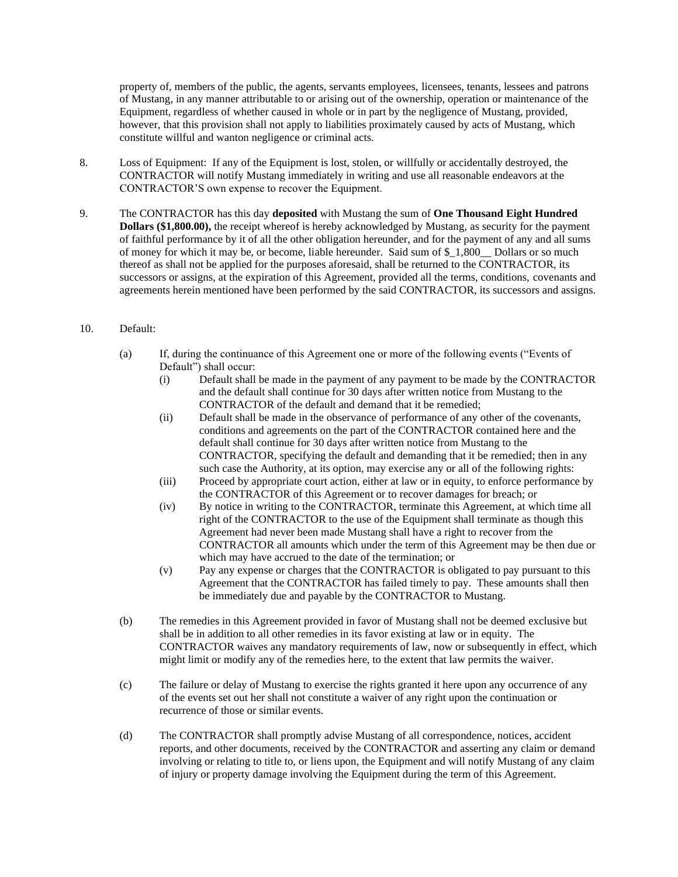property of, members of the public, the agents, servants employees, licensees, tenants, lessees and patrons of Mustang, in any manner attributable to or arising out of the ownership, operation or maintenance of the Equipment, regardless of whether caused in whole or in part by the negligence of Mustang, provided, however, that this provision shall not apply to liabilities proximately caused by acts of Mustang, which constitute willful and wanton negligence or criminal acts.

- 8. Loss of Equipment: If any of the Equipment is lost, stolen, or willfully or accidentally destroyed, the CONTRACTOR will notify Mustang immediately in writing and use all reasonable endeavors at the CONTRACTOR'S own expense to recover the Equipment.
- 9. The CONTRACTOR has this day **deposited** with Mustang the sum of **One Thousand Eight Hundred Dollars (\$1,800.00),** the receipt whereof is hereby acknowledged by Mustang, as security for the payment of faithful performance by it of all the other obligation hereunder, and for the payment of any and all sums of money for which it may be, or become, liable hereunder. Said sum of \$\_1,800\_\_ Dollars or so much thereof as shall not be applied for the purposes aforesaid, shall be returned to the CONTRACTOR, its successors or assigns, at the expiration of this Agreement, provided all the terms, conditions, covenants and agreements herein mentioned have been performed by the said CONTRACTOR, its successors and assigns.

## 10. Default:

- (a) If, during the continuance of this Agreement one or more of the following events ("Events of Default") shall occur:
	- (i) Default shall be made in the payment of any payment to be made by the CONTRACTOR and the default shall continue for 30 days after written notice from Mustang to the CONTRACTOR of the default and demand that it be remedied;
	- (ii) Default shall be made in the observance of performance of any other of the covenants, conditions and agreements on the part of the CONTRACTOR contained here and the default shall continue for 30 days after written notice from Mustang to the CONTRACTOR, specifying the default and demanding that it be remedied; then in any such case the Authority, at its option, may exercise any or all of the following rights:
	- (iii) Proceed by appropriate court action, either at law or in equity, to enforce performance by the CONTRACTOR of this Agreement or to recover damages for breach; or
	- (iv) By notice in writing to the CONTRACTOR, terminate this Agreement, at which time all right of the CONTRACTOR to the use of the Equipment shall terminate as though this Agreement had never been made Mustang shall have a right to recover from the CONTRACTOR all amounts which under the term of this Agreement may be then due or which may have accrued to the date of the termination; or
	- (v) Pay any expense or charges that the CONTRACTOR is obligated to pay pursuant to this Agreement that the CONTRACTOR has failed timely to pay. These amounts shall then be immediately due and payable by the CONTRACTOR to Mustang.
- (b) The remedies in this Agreement provided in favor of Mustang shall not be deemed exclusive but shall be in addition to all other remedies in its favor existing at law or in equity. The CONTRACTOR waives any mandatory requirements of law, now or subsequently in effect, which might limit or modify any of the remedies here, to the extent that law permits the waiver.
- (c) The failure or delay of Mustang to exercise the rights granted it here upon any occurrence of any of the events set out her shall not constitute a waiver of any right upon the continuation or recurrence of those or similar events.
- (d) The CONTRACTOR shall promptly advise Mustang of all correspondence, notices, accident reports, and other documents, received by the CONTRACTOR and asserting any claim or demand involving or relating to title to, or liens upon, the Equipment and will notify Mustang of any claim of injury or property damage involving the Equipment during the term of this Agreement.